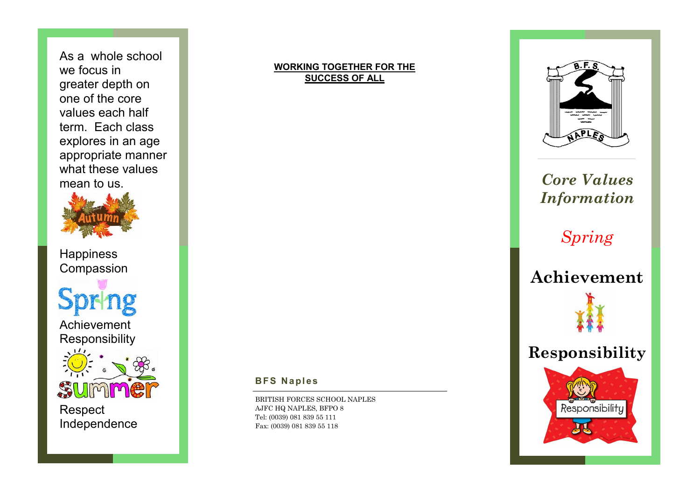As a whole school we focus in greater depth on one of the core values each half term. Each class explores in an age appropriate manner what these values mean to us.



**Happiness** Compassion

Achievement Responsibility



Respect Independence

## **WORKING TOGETHER FOR THE SUCCESS OF ALL**



## *Core Values Information*

*Spring* 

**Achievement**



Responsibility



BRITISH FORCES SCHOOL NAPLES AJFC HQ NAPLES, BFPO 8 Tel: (0039) 081 839 55 111 Fax: (0039) 081 839 55 118